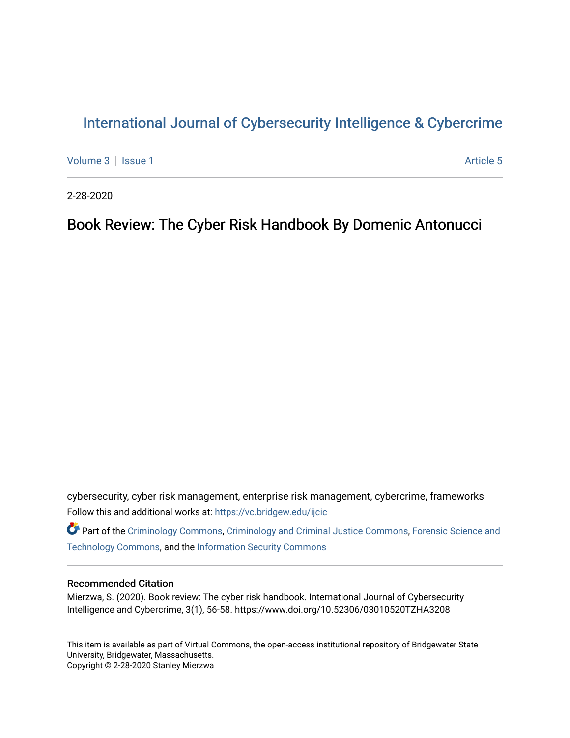# [International Journal of Cybersecurity Intelligence & Cybercrime](https://vc.bridgew.edu/ijcic)

[Volume 3](https://vc.bridgew.edu/ijcic/vol3) | [Issue 1](https://vc.bridgew.edu/ijcic/vol3/iss1) Article 5

2-28-2020

## Book Review: The Cyber Risk Handbook By Domenic Antonucci

cybersecurity, cyber risk management, enterprise risk management, cybercrime, frameworks Follow this and additional works at: [https://vc.bridgew.edu/ijcic](https://vc.bridgew.edu/ijcic?utm_source=vc.bridgew.edu%2Fijcic%2Fvol3%2Fiss1%2F5&utm_medium=PDF&utm_campaign=PDFCoverPages) 

Part of the [Criminology Commons](https://network.bepress.com/hgg/discipline/417?utm_source=vc.bridgew.edu%2Fijcic%2Fvol3%2Fiss1%2F5&utm_medium=PDF&utm_campaign=PDFCoverPages), [Criminology and Criminal Justice Commons,](https://network.bepress.com/hgg/discipline/367?utm_source=vc.bridgew.edu%2Fijcic%2Fvol3%2Fiss1%2F5&utm_medium=PDF&utm_campaign=PDFCoverPages) [Forensic Science and](https://network.bepress.com/hgg/discipline/1277?utm_source=vc.bridgew.edu%2Fijcic%2Fvol3%2Fiss1%2F5&utm_medium=PDF&utm_campaign=PDFCoverPages)  [Technology Commons,](https://network.bepress.com/hgg/discipline/1277?utm_source=vc.bridgew.edu%2Fijcic%2Fvol3%2Fiss1%2F5&utm_medium=PDF&utm_campaign=PDFCoverPages) and the [Information Security Commons](https://network.bepress.com/hgg/discipline/1247?utm_source=vc.bridgew.edu%2Fijcic%2Fvol3%2Fiss1%2F5&utm_medium=PDF&utm_campaign=PDFCoverPages) 

## Recommended Citation

Mierzwa, S. (2020). Book review: The cyber risk handbook. International Journal of Cybersecurity Intelligence and Cybercrime, 3(1), 56-58. https://www.doi.org/10.52306/03010520TZHA3208

This item is available as part of Virtual Commons, the open-access institutional repository of Bridgewater State University, Bridgewater, Massachusetts. Copyright © 2-28-2020 Stanley Mierzwa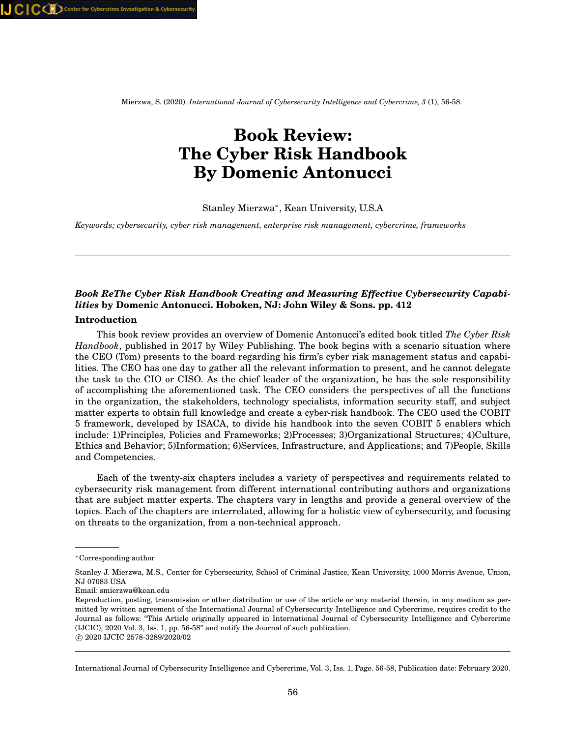Mierzwa, S. (2020). *International Journal of Cybersecurity Intelligence and Cybercrime, 3* (1), 56-58.

# **Book Review: The Cyber Risk Handbook By Domenic Antonucci**

## Stanley Mierzwa<sup>∗</sup> , Kean University, U.S.A

*Keywords; cybersecurity, cyber risk management, enterprise risk management, cybercrime, frameworks*

## *Book ReThe Cyber Risk Handbook Creating and Measuring Effective Cybersecurity Capabilities* **by Domenic Antonucci. Hoboken, NJ: John Wiley & Sons. pp. 412**

## **Introduction**

This book review provides an overview of Domenic Antonucci's edited book titled *The Cyber Risk Handbook*, published in 2017 by Wiley Publishing. The book begins with a scenario situation where the CEO (Tom) presents to the board regarding his firm's cyber risk management status and capabilities. The CEO has one day to gather all the relevant information to present, and he cannot delegate the task to the CIO or CISO. As the chief leader of the organization, he has the sole responsibility of accomplishing the aforementioned task. The CEO considers the perspectives of all the functions in the organization, the stakeholders, technology specialists, information security staff, and subject matter experts to obtain full knowledge and create a cyber-risk handbook. The CEO used the COBIT 5 framework, developed by ISACA, to divide his handbook into the seven COBIT 5 enablers which include: 1)Principles, Policies and Frameworks; 2)Processes; 3)Organizational Structures; 4)Culture, Ethics and Behavior; 5)Information; 6)Services, Infrastructure, and Applications; and 7)People, Skills and Competencies.

Each of the twenty-six chapters includes a variety of perspectives and requirements related to cybersecurity risk management from different international contributing authors and organizations that are subject matter experts. The chapters vary in lengths and provide a general overview of the topics. Each of the chapters are interrelated, allowing for a holistic view of cybersecurity, and focusing on threats to the organization, from a non-technical approach.

<sup>∗</sup>Corresponding author

Stanley J. Mierzwa, M.S., Center for Cybersecurity, School of Criminal Justice, Kean University, 1000 Morris Avenue, Union, NJ 07083 USA

Email: smierzwa@kean.edu

Reproduction, posting, transmission or other distribution or use of the article or any material therein, in any medium as permitted by written agreement of the International Journal of Cybersecurity Intelligence and Cybercrime, requires credit to the Journal as follows: "This Article originally appeared in International Journal of Cybersecurity Intelligence and Cybercrime (IJCIC), 2020 Vol. 3, Iss. 1, pp. 56-58" and notify the Journal of such publication.

c 2020 IJCIC 2578-3289/2020/02

International Journal of Cybersecurity Intelligence and Cybercrime, Vol. 3, Iss. 1, Page. 56-58, Publication date: February 2020.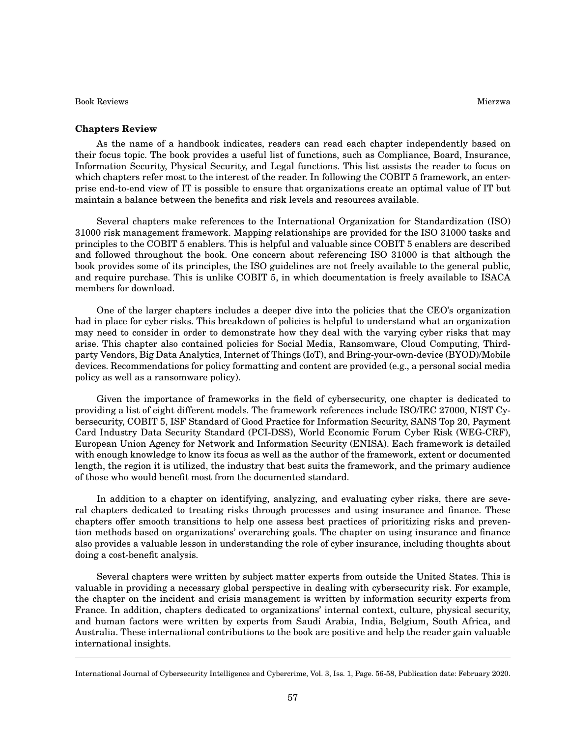Book Reviews Mierzwa

As the name of a handbook indicates, readers can read each chapter independently based on their focus topic. The book provides a useful list of functions, such as Compliance, Board, Insurance, Information Security, Physical Security, and Legal functions. This list assists the reader to focus on which chapters refer most to the interest of the reader. In following the COBIT 5 framework, an enterprise end-to-end view of IT is possible to ensure that organizations create an optimal value of IT but maintain a balance between the benefits and risk levels and resources available.

Several chapters make references to the International Organization for Standardization (ISO) 31000 risk management framework. Mapping relationships are provided for the ISO 31000 tasks and principles to the COBIT 5 enablers. This is helpful and valuable since COBIT 5 enablers are described and followed throughout the book. One concern about referencing ISO 31000 is that although the book provides some of its principles, the ISO guidelines are not freely available to the general public, and require purchase. This is unlike COBIT 5, in which documentation is freely available to ISACA members for download.

One of the larger chapters includes a deeper dive into the policies that the CEO's organization had in place for cyber risks. This breakdown of policies is helpful to understand what an organization may need to consider in order to demonstrate how they deal with the varying cyber risks that may arise. This chapter also contained policies for Social Media, Ransomware, Cloud Computing, Thirdparty Vendors, Big Data Analytics, Internet of Things (IoT), and Bring-your-own-device (BYOD)/Mobile devices. Recommendations for policy formatting and content are provided (e.g., a personal social media policy as well as a ransomware policy).

Given the importance of frameworks in the field of cybersecurity, one chapter is dedicated to providing a list of eight different models. The framework references include ISO/IEC 27000, NIST Cybersecurity, COBIT 5, ISF Standard of Good Practice for Information Security, SANS Top 20, Payment Card Industry Data Security Standard (PCI-DSS), World Economic Forum Cyber Risk (WEG-CRF), European Union Agency for Network and Information Security (ENISA). Each framework is detailed with enough knowledge to know its focus as well as the author of the framework, extent or documented length, the region it is utilized, the industry that best suits the framework, and the primary audience of those who would benefit most from the documented standard.

In addition to a chapter on identifying, analyzing, and evaluating cyber risks, there are several chapters dedicated to treating risks through processes and using insurance and finance. These chapters offer smooth transitions to help one assess best practices of prioritizing risks and prevention methods based on organizations' overarching goals. The chapter on using insurance and finance also provides a valuable lesson in understanding the role of cyber insurance, including thoughts about doing a cost-benefit analysis.

Several chapters were written by subject matter experts from outside the United States. This is valuable in providing a necessary global perspective in dealing with cybersecurity risk. For example, the chapter on the incident and crisis management is written by information security experts from France. In addition, chapters dedicated to organizations' internal context, culture, physical security, and human factors were written by experts from Saudi Arabia, India, Belgium, South Africa, and Australia. These international contributions to the book are positive and help the reader gain valuable international insights.

International Journal of Cybersecurity Intelligence and Cybercrime, Vol. 3, Iss. 1, Page. 56-58, Publication date: February 2020.